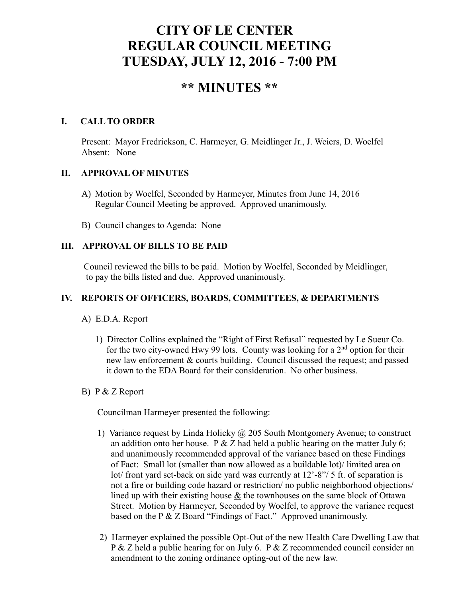# **CITY OF LE CENTER REGULAR COUNCIL MEETING TUESDAY, JULY 12, 2016 - 7:00 PM**

# **\*\* MINUTES \*\***

#### **I. CALL TO ORDER**

Present: Mayor Fredrickson, C. Harmeyer, G. Meidlinger Jr., J. Weiers, D. Woelfel Absent: None

#### **II. APPROVAL OF MINUTES**

- A) Motion by Woelfel, Seconded by Harmeyer, Minutes from June 14, 2016 Regular Council Meeting be approved. Approved unanimously.
- B) Council changes to Agenda: None

### **III. APPROVAL OF BILLS TO BE PAID**

Council reviewed the bills to be paid. Motion by Woelfel, Seconded by Meidlinger, to pay the bills listed and due. Approved unanimously.

#### **IV. REPORTS OF OFFICERS, BOARDS, COMMITTEES, & DEPARTMENTS**

- A) E.D.A. Report
	- 1) Director Collins explained the "Right of First Refusal" requested by Le Sueur Co. for the two city-owned Hwy 99 lots. County was looking for a  $2<sup>nd</sup>$  option for their new law enforcement & courts building. Council discussed the request; and passed it down to the EDA Board for their consideration. No other business.

#### B) P & Z Report

Councilman Harmeyer presented the following:

- 1) Variance request by Linda Holicky  $\omega$  205 South Montgomery Avenue; to construct an addition onto her house. P  $&Z$  had held a public hearing on the matter July 6; and unanimously recommended approval of the variance based on these Findings of Fact: Small lot (smaller than now allowed as a buildable lot)/ limited area on lot/ front yard set-back on side yard was currently at 12'-8"/ 5 ft. of separation is not a fire or building code hazard or restriction/ no public neighborhood objections/ lined up with their existing house & the townhouses on the same block of Ottawa Street. Motion by Harmeyer, Seconded by Woelfel, to approve the variance request based on the P & Z Board "Findings of Fact." Approved unanimously.
- 2) Harmeyer explained the possible Opt-Out of the new Health Care Dwelling Law that P & Z held a public hearing for on July 6. P & Z recommended council consider an amendment to the zoning ordinance opting-out of the new law.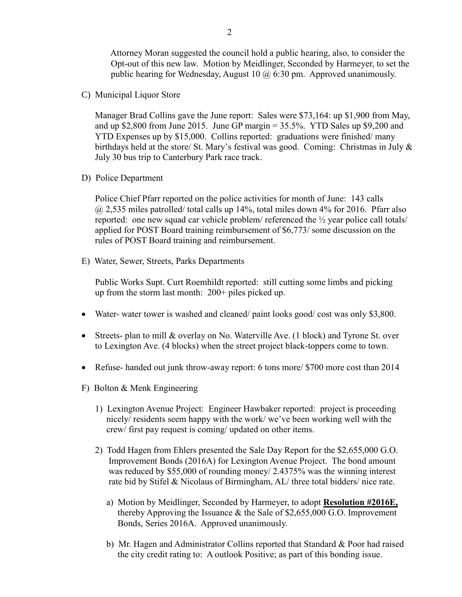Attorney Moran suggested the council hold a public hearing, also, to consider the Opt-out of this new law. Motion by Meidlinger, Seconded by Harmeyer, to set the public hearing for Wednesday, August 10  $\omega$  6:30 pm. Approved unanimously.

C) Municipal Liquor Store

Manager Brad Collins gave the June report: Sales were \$73,164: up \$1,900 from May, and up  $$2,800$  from June 2015. June GP margin  $= 35.5\%$ . YTD Sales up  $$9,200$  and YTD Expenses up by \$15,000. Collins reported: graduations were finished/ many birthdays held at the store/ St. Mary's festival was good. Coming: Christmas in July & July 30 bus trip to Canterbury Park race track.

D) Police Department

Police Chief Pfarr reported on the police activities for month of June: 143 calls @ 2,535 miles patrolled/ total calls up 14%, total miles down 4% for 2016. Pfarr also reported: one new squad car vehicle problem/ referenced the ½ year police call totals/ applied for POST Board training reimbursement of \$6,773/ some discussion on the rules of POST Board training and reimbursement.

E) Water, Sewer, Streets, Parks Departments

 Public Works Supt. Curt Roemhildt reported: still cutting some limbs and picking up from the storm last month: 200+ piles picked up.

- Water- water tower is washed and cleaned/ paint looks good/ cost was only \$3,800.
- Streets- plan to mill & overlay on No. Waterville Ave. (1 block) and Tyrone St. over to Lexington Ave. (4 blocks) when the street project black-toppers come to town.
- Refuse- handed out junk throw-away report: 6 tons more/ \$700 more cost than 2014
- F) Bolton & Menk Engineering
	- 1) Lexington Avenue Project: Engineer Hawbaker reported: project is proceeding nicely/ residents seem happy with the work/ we've been working well with the crew/ first pay request is coming/ updated on other items.
	- 2) Todd Hagen from Ehlers presented the Sale Day Report for the \$2,655,000 G.O. Improvement Bonds (2016A) for Lexington Avenue Project. The bond amount was reduced by \$55,000 of rounding money/ 2.4375% was the winning interest rate bid by Stifel & Nicolaus of Birmingham, AL/ three total bidders/ nice rate.
		- a) Motion by Meidlinger, Seconded by Harmeyer, to adopt **Resolution #2016E,** thereby Approving the Issuance & the Sale of \$2,655,000 G.O. Improvement Bonds, Series 2016A. Approved unanimously.
		- b) Mr. Hagen and Administrator Collins reported that Standard & Poor had raised the city credit rating to: A outlook Positive; as part of this bonding issue.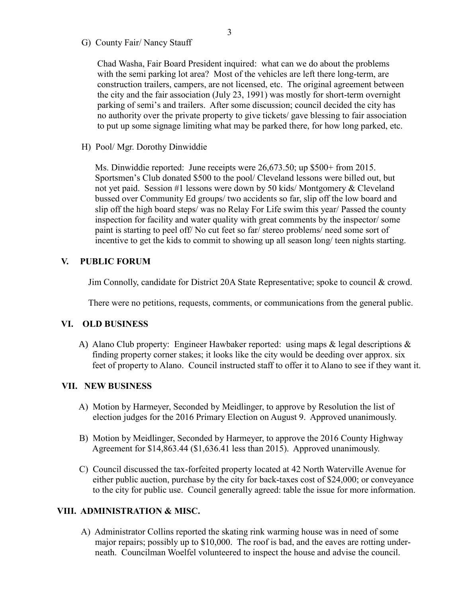G) County Fair/ Nancy Stauff

 Chad Washa, Fair Board President inquired: what can we do about the problems with the semi parking lot area? Most of the vehicles are left there long-term, are construction trailers, campers, are not licensed, etc. The original agreement between the city and the fair association (July 23, 1991) was mostly for short-term overnight parking of semi's and trailers. After some discussion; council decided the city has no authority over the private property to give tickets/ gave blessing to fair association to put up some signage limiting what may be parked there, for how long parked, etc.

H) Pool/ Mgr. Dorothy Dinwiddie

 Ms. Dinwiddie reported: June receipts were 26,673.50; up \$500+ from 2015. Sportsmen's Club donated \$500 to the pool/ Cleveland lessons were billed out, but not yet paid. Session #1 lessons were down by 50 kids/ Montgomery & Cleveland bussed over Community Ed groups/ two accidents so far, slip off the low board and slip off the high board steps/ was no Relay For Life swim this year/ Passed the county inspection for facility and water quality with great comments by the inspector/ some paint is starting to peel off/ No cut feet so far/ stereo problems/ need some sort of incentive to get the kids to commit to showing up all season long/ teen nights starting.

#### **V. PUBLIC FORUM**

Jim Connolly, candidate for District 20A State Representative; spoke to council & crowd.

There were no petitions, requests, comments, or communications from the general public.

#### **VI. OLD BUSINESS**

A) Alano Club property: Engineer Hawbaker reported: using maps & legal descriptions & finding property corner stakes; it looks like the city would be deeding over approx. six feet of property to Alano. Council instructed staff to offer it to Alano to see if they want it.

#### **VII. NEW BUSINESS**

- A) Motion by Harmeyer, Seconded by Meidlinger, to approve by Resolution the list of election judges for the 2016 Primary Election on August 9. Approved unanimously.
- B) Motion by Meidlinger, Seconded by Harmeyer, to approve the 2016 County Highway Agreement for \$14,863.44 (\$1,636.41 less than 2015). Approved unanimously.
- C) Council discussed the tax-forfeited property located at 42 North Waterville Avenue for either public auction, purchase by the city for back-taxes cost of \$24,000; or conveyance to the city for public use. Council generally agreed: table the issue for more information.

#### **VIII. ADMINISTRATION & MISC.**

 A) Administrator Collins reported the skating rink warming house was in need of some major repairs; possibly up to \$10,000. The roof is bad, and the eaves are rotting under neath. Councilman Woelfel volunteered to inspect the house and advise the council.